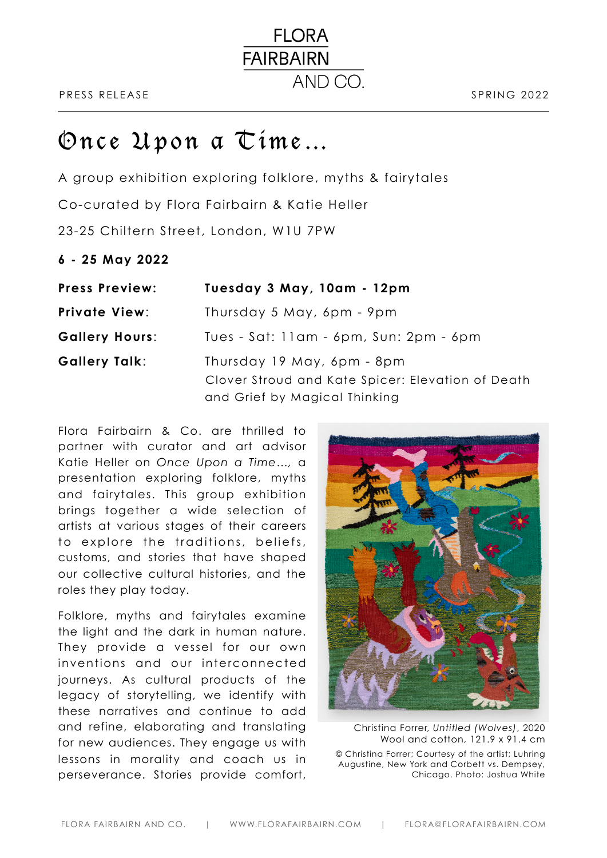# Once Upon a Time…

A group exhibition exploring folklore, myths & fairytales Co-curated by Flora Fairbairn & Katie Heller 23-25 Chiltern Street, London, W1U 7PW

**6 - 25 May 2022** 

| <b>Press Preview:</b> | Tuesday 3 May, 10am - 12pm                                                                                       |
|-----------------------|------------------------------------------------------------------------------------------------------------------|
| <b>Private View:</b>  | Thursday 5 May, 6pm - 9pm                                                                                        |
| <b>Gallery Hours:</b> | Tues - Sat: 11am - 6pm, Sun: 2pm - 6pm                                                                           |
| <b>Gallery Talk:</b>  | Thursday 19 May, 6pm - 8pm<br>Clover Stroud and Kate Spicer: Elevation of Death<br>and Grief by Magical Thinking |

**FLORA** 

AND CO.

**FAIRBAIRN** 

Flora Fairbairn & Co. are thrilled to partner with curator and art advisor Katie Heller on *Once Upon a Time…,* a presentation exploring folklore, myths and fairytales. This group exhibition brings together a wide selection of artists at various stages of their careers to explore the traditions, beliefs, customs, and stories that have shaped our collective cultural histories, and the roles they play today.

Folklore, myths and fairytales examine the light and the dark in human nature. They provide a vessel for our own inventions and our interconnected journeys. As cultural products of the legacy of storytelling, we identify with these narratives and continue to add and refine, elaborating and translating for new audiences. They engage us with lessons in morality and coach us in perseverance. Stories provide comfort,



Christina Forrer, *Untitled (Wolves)*, 2020 Wool and cotton, 121.9 x 91.4 cm © Christina Forrer; Courtesy of the artist; Luhring Augustine, New York and Corbett vs. Dempsey, Chicago. Photo: Joshua White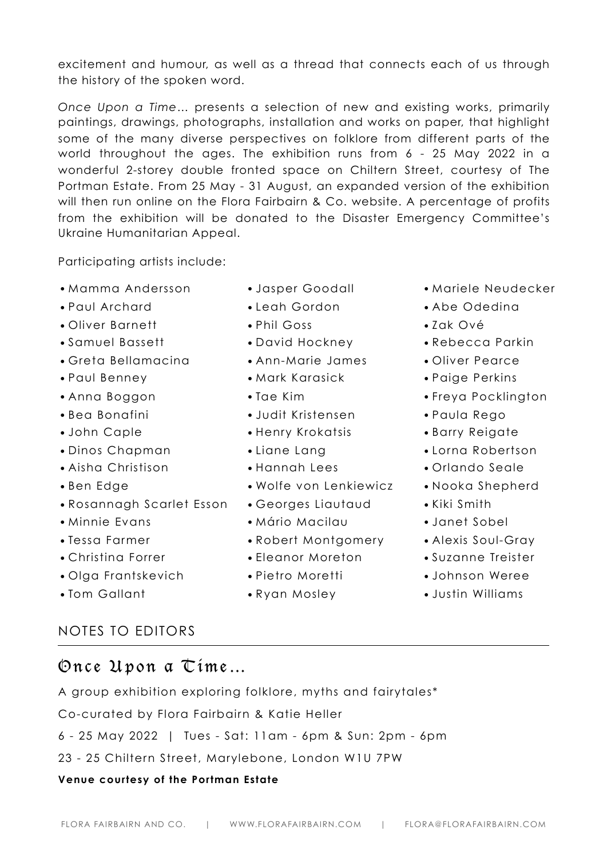excitement and humour, as well as a thread that connects each of us through the history of the spoken word.

*Once Upon a Time…* presents a selection of new and existing works, primarily paintings, drawings, photographs, installation and works on paper, that highlight some of the many diverse perspectives on folklore from different parts of the world throughout the ages. The exhibition runs from 6 - 25 May 2022 in a wonderful 2-storey double fronted space on Chiltern Street, courtesy of The Portman Estate. From 25 May - 31 August, an expanded version of the exhibition will then run online on the Flora Fairbairn & Co. website. A percentage of profits from the exhibition will be donated to the Disaster Emergency Committee's Ukraine Humanitarian Appeal.

Participating artists include:

- Mamma Andersson
- Paul Archard
- Oliver Barnett
- Samuel Bassett
- Greta Bellamacina
- Paul Benney
- Anna Boggon
- Bea Bonafini
- John Caple
- Dinos Chapman
- Aisha Christison
- Ben Edge
- Rosannagh Scarlet Esson
- Minnie Evans
- Tessa Farmer
- Christina Forrer
- Olga Frantskevich
- Tom Gallant
- NOTES TO EDITORS
- Once Upon a Time…

A group exhibition exploring folklore, myths and fairytales\* Co-curated by Flora Fairbairn & Katie Heller 6 - 25 May 2022 | Tues - Sat: 11am - 6pm & Sun: 2pm - 6pm 23 - 25 Chiltern Street, Marylebone, London W1U 7PW

# **Venue courtesy of the Portman Estate**

- Jasper Goodall
- Leah Gordon
- Phil Goss
- David Hockney
- Ann-Marie James
- Mark Karasick
- Tae Kim
- Judit Kristensen
- Henry Krokatsis
- Liane Lang
- Hannah Lees
- Wolfe von Lenkiewicz
- Georges Liautaud
- Mário Macilau
- Robert Montgomery
- Eleanor Moreton
- Pietro Moretti
- Ryan Mosley
- Mariele Neudecker
- Abe Odedina
- Zak Ové
- Rebecca Parkin
- Oliver Pearce
- Paige Perkins
- Freya Pocklington
- Paula Rego
- Barry Reigate
- Lorna Robertson
- Orlando Seale
- Nooka Shepherd
- Kiki Smith
- Janet Sobel
- Alexis Soul-Gray
- Suzanne Treister
- Johnson Weree
- Justin Williams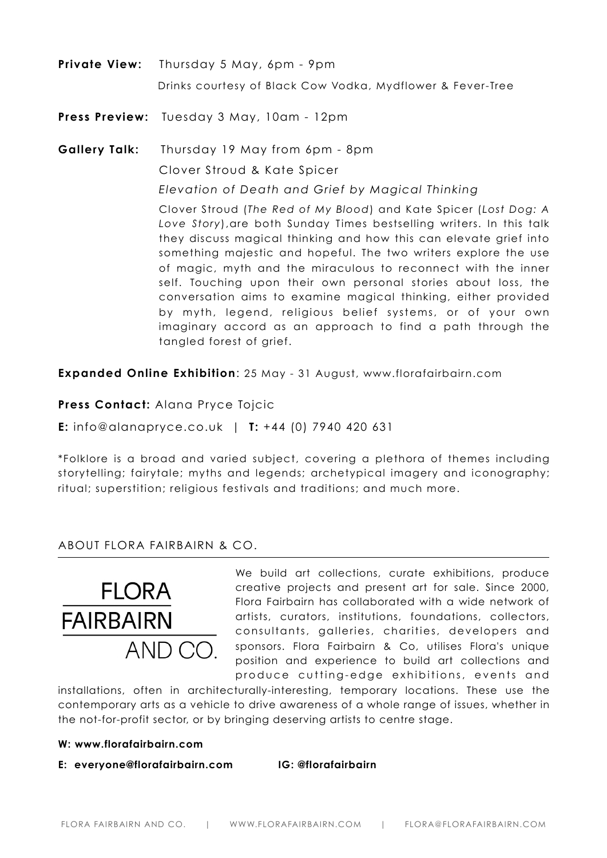**Private View:** Thursday 5 May, 6pm - 9pm Drinks courtesy of Black Cow Vodka, Mydflower & Fever-Tree

**Press Preview:** Tuesday 3 May, 10am - 12pm

**Gallery Talk:** Thursday 19 May from 6pm - 8pm Clover Stroud & Kate Spicer *Elevation of Death and Grief by Magical Thinking* 

> Clover Stroud (*The Red of My Blood*) and Kate Spicer (*Lost Dog: A Love Story*),are both Sunday Times bestselling writers. In this talk they discuss magical thinking and how this can elevate grief into something majestic and hopeful. The two writers explore the use of magic, myth and the miraculous to reconnect with the inner self. Touching upon their own personal stories about loss, the conversation aims to examine magical thinking, either provided by myth, legend, religious belief systems, or of your own imaginary accord as an approach to find a path through the tangled forest of grief.

**Expanded Online Exhibition**: 25 May - 31 August, [www.florafairbairn.com](http://www.florafairbairn.com)

**Press Contact:** Alana Pryce Tojcic

**E:** info@alanapryce.co.uk | **T:** +44 (0) 7940 420 631

\*Folklore is a broad and varied subject, covering a plethora of themes including storytelling; fairytale; myths and legends; archetypical imagery and iconography; ritual; superstition; religious festivals and traditions; and much more.

# ABOUT FLORA FAIRBAIRN & CO.



We build art collections, curate exhibitions, produce creative projects and present art for sale. Since 2000, Flora Fairbairn has collaborated with a wide network of artists, curators, institutions, foundations, collectors, consultants, galleries, charities, developers and sponsors. Flora Fairbairn & Co, utilises Flora's unique position and experience to build art collections and produce cutting-edge exhibitions, events and

installations, often in architecturally-interesting, temporary locations. These use the contemporary arts as a vehicle to drive awareness of a whole range of issues, whether in the not-for-profit sector, or by bringing deserving artists to centre stage.

#### **W: [www.florafairbairn.com](http://www.florafairbairn.com)**

**E: [everyone@florafairbairn.com](mailto:everyone@florafairbairn.com) IG: [@florafairbairn](http://www.instagram.com/florafairbairn)**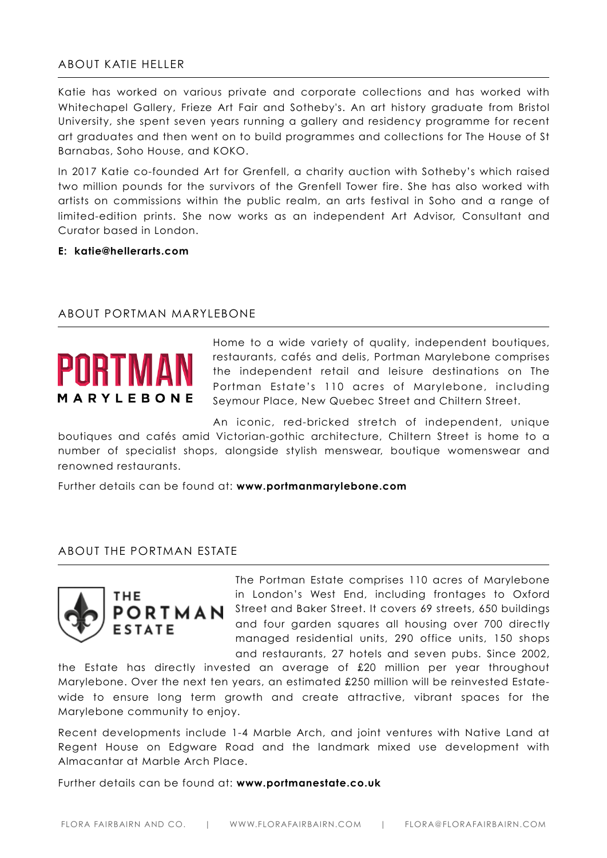# ABOUT KATIE HELLER

Katie has worked on various private and corporate collections and has worked with Whitechapel Gallery, Frieze Art Fair and Sotheby's. An art history graduate from Bristol University, she spent seven years running a gallery and residency programme for recent art graduates and then went on to build programmes and collections for The House of St Barnabas, Soho House, and KOKO.

In 2017 Katie co-founded Art for Grenfell, a charity auction with Sotheby's which raised two million pounds for the survivors of the Grenfell Tower fire. She has also worked with artists on commissions within the public realm, an arts festival in Soho and a range of limited-edition prints. She now works as an independent Art Advisor, Consultant and Curator based in London.

### **E: katie@hellerarts.com**

### ABOUT PORTMAN MARYLEBONE



Home to a wide variety of quality, independent boutiques, restaurants, cafés and delis, Portman Marylebone comprises the independent retail and leisure destinations on The Portman Estate's 110 acres of Marylebone, including Seymour Place, New Quebec Street and Chiltern Street.

An iconic, red-bricked stretch of independent, unique boutiques and cafés amid Victorian-gothic architecture, Chiltern Street is home to a number of specialist shops, alongside stylish menswear, boutique womenswear and renowned restaurants.

Further details can be found at: **[www.portmanmarylebone.com](http://www.portmanmarylebone.com)**

#### ABOUT THE PORTMAN ESTATE



The Portman Estate comprises 110 acres of Marylebone in London's West End, including frontages to Oxford Street and Baker Street. It covers 69 streets, 650 buildings and four garden squares all housing over 700 directly managed residential units, 290 office units, 150 shops and restaurants, 27 hotels and seven pubs. Since 2002,

the Estate has directly invested an average of £20 million per year throughout Marylebone. Over the next ten years, an estimated £250 million will be reinvested Estatewide to ensure long term growth and create attractive, vibrant spaces for the Marylebone community to enjoy.

Recent developments include 1-4 Marble Arch, and joint ventures with Native Land at Regent House on Edgware Road and the landmark mixed use development with Almacantar at Marble Arch Place.

Further details can be found at: **[www.portmanestate.co.uk](http://www.portmanestate.co.uk)**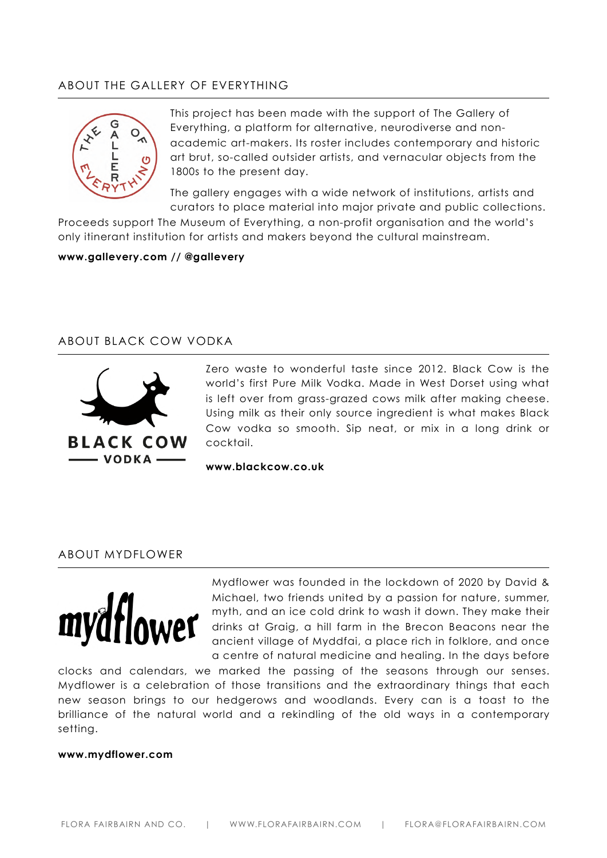# ABOUT THE GALLERY OF EVERYTHING



This project has been made with the support of The Gallery of Everything, a platform for alternative, neurodiverse and nonacademic art-makers. Its roster includes contemporary and historic art brut, so-called outsider artists, and vernacular objects from the 1800s to the present day.

The gallery engages with a wide network of institutions, artists and curators to place material into major private and public collections.

Proceeds support The Museum of Everything, a non-profit organisation and the world's only itinerant institution for artists and makers beyond the cultural mainstream.

#### **[www.gallevery.com](http://www.gallevery.com) // @gallevery**

# ABOUT BLACK COW VODKA



Zero waste to wonderful taste since 2012. Black Cow is the world's first Pure Milk Vodka. Made in West Dorset using what is left over from grass-grazed cows milk after making cheese. Using milk as their only source ingredient is what makes Black Cow vodka so smooth. Sip neat, or mix in a long drink or cocktail.

**[www.blackcow.co.uk](http://www.blackcow.co.uk)** 

#### ABOUT MYDFLOWER



Mydflower was founded in the lockdown of 2020 by David & Michael, two friends united by a passion for nature, summer, myth, and an ice cold drink to wash it down. They make their drinks at Graig, a hill farm in the Brecon Beacons near the ancient village of Myddfai, a place rich in folklore, and once a centre of natural medicine and healing. In the days before

clocks and calendars, we marked the passing of the seasons through our senses. Mydflower is a celebration of those transitions and the extraordinary things that each new season brings to our hedgerows and woodlands. Every can is a toast to the brilliance of the natural world and a rekindling of the old ways in a contemporary setting.

#### **[www.mydflower.com](http://www.mydflower.com)**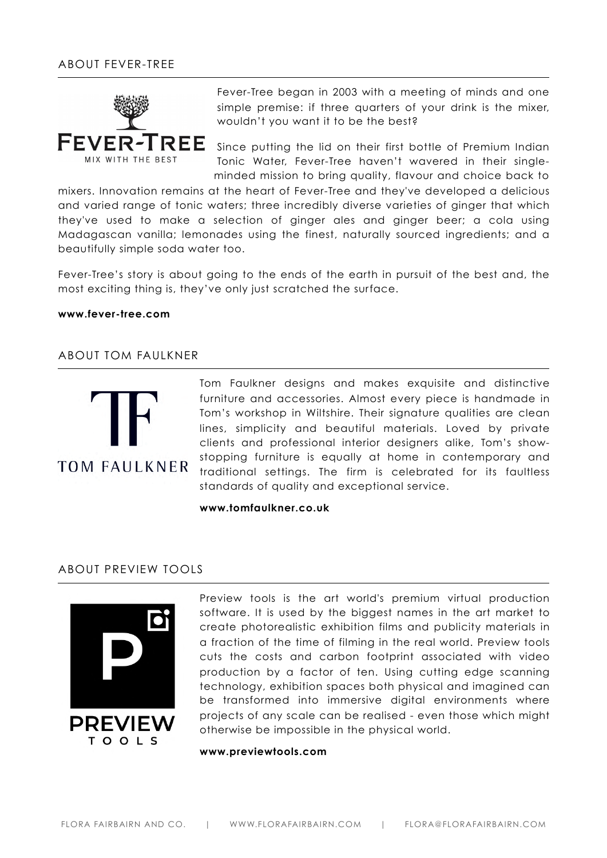

Fever-Tree began in 2003 with a meeting of minds and one simple premise: if three quarters of your drink is the mixer, wouldn't you want it to be the best?

Since putting the lid on their first bottle of Premium Indian Tonic Water, Fever-Tree haven't wavered in their singleminded mission to bring quality, flavour and choice back to

mixers. Innovation remains at the heart of Fever-Tree and they've developed a delicious and varied range of tonic waters; three incredibly diverse varieties of ginger that which they've used to make a selection of ginger ales and ginger beer; a cola using Madagascan vanilla; lemonades using the finest, naturally sourced ingredients; and a beautifully simple soda water too.

Fever-Tree's story is about going to the ends of the earth in pursuit of the best and, the most exciting thing is, they've only just scratched the surface.

#### **[www.fever-tree.com](https://fever-tree.com/en_GB)**

#### ABOUT TOM FAULKNER



Tom Faulkner designs and makes exquisite and distinctive furniture and accessories. Almost every piece is handmade in Tom's workshop in Wiltshire. Their signature qualities are clean lines, simplicity and beautiful materials. Loved by private clients and professional interior designers alike, Tom's showstopping furniture is equally at home in contemporary and traditional settings. The firm is celebrated for its faultless standards of quality and exceptional service.

**[www.tomfaulkner.co.uk](http://www.tomfaulkner.co.uk)** 

## ABOUT PREVIEW TOOLS



Preview tools is the art world's premium virtual production software. It is used by the biggest names in the art market to create photorealistic exhibition films and publicity materials in a fraction of the time of filming in the real world. Preview tools cuts the costs and carbon footprint associated with video production by a factor of ten. Using cutting edge scanning technology, exhibition spaces both physical and imagined can be transformed into immersive digital environments where projects of any scale can be realised - even those which might otherwise be impossible in the physical world.

#### **[www.previewtools.com](http://www.previewtools.com)**